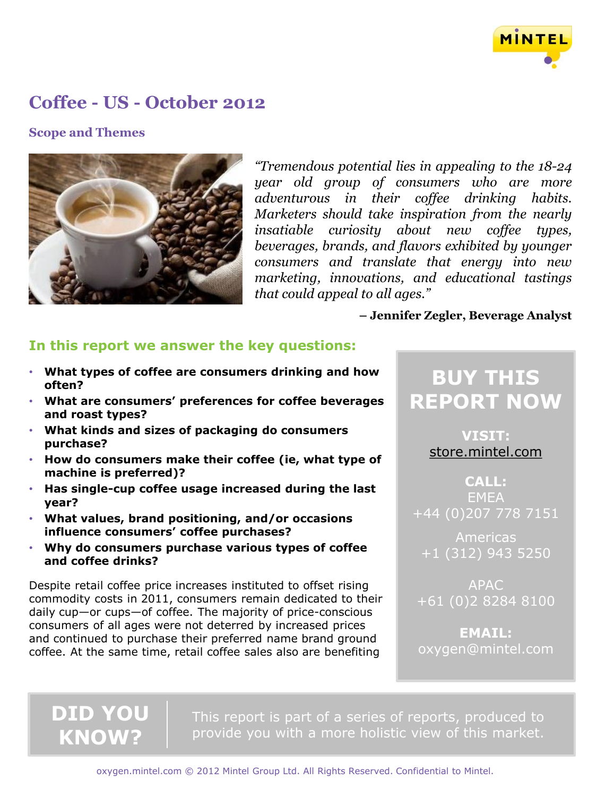

### **Scope and Themes**



*"Tremendous potential lies in appealing to the 18-24 year old group of consumers who are more adventurous in their coffee drinking habits. Marketers should take inspiration from the nearly insatiable curiosity about new coffee types, beverages, brands, and flavors exhibited by younger consumers and translate that energy into new marketing, innovations, and educational tastings that could appeal to all ages."*

### **– Jennifer Zegler, Beverage Analyst**

## **In this report we answer the key questions:**

- **What types of coffee are consumers drinking and how often?**
- **What are consumers' preferences for coffee beverages and roast types?**
- **What kinds and sizes of packaging do consumers purchase?**
- **How do consumers make their coffee (ie, what type of machine is preferred)?**
- **Has single-cup coffee usage increased during the last year?**
- **What values, brand positioning, and/or occasions influence consumers' coffee purchases?**
- **Why do consumers purchase various types of coffee and coffee drinks?**

Despite retail coffee price increases instituted to offset rising commodity costs in 2011, consumers remain dedicated to their daily cup—or cups—of coffee. The majority of price-conscious consumers of all ages were not deterred by increased prices and continued to purchase their preferred name brand ground coffee. At the same time, retail coffee sales also are benefiting

**DID YOU** 

**KNOW?**

# **BUY THIS REPORT NOW**

**VISIT:** [store.mintel.com](http://oxygen.mintel.com/display/590728/)

**CALL: FMFA** +44 (0)207 778 7151

Americas +1 (312) 943 5250

APAC +61 (0)2 8284 8100

**EMAIL:** oxygen@mintel.com

This report is part of a series of reports, produced to provide you with a more holistic view of this market.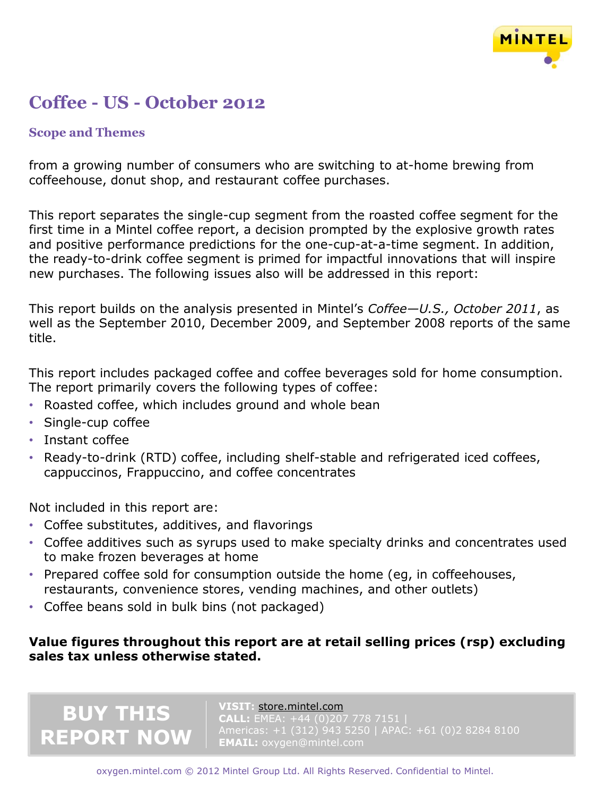

### **Scope and Themes**

from a growing number of consumers who are switching to at-home brewing from coffeehouse, donut shop, and restaurant coffee purchases.

This report separates the single-cup segment from the roasted coffee segment for the first time in a Mintel coffee report, a decision prompted by the explosive growth rates and positive performance predictions for the one-cup-at-a-time segment. In addition, the ready-to-drink coffee segment is primed for impactful innovations that will inspire new purchases. The following issues also will be addressed in this report:

This report builds on the analysis presented in Mintel's *Coffee—U.S., October 2011*, as well as the September 2010, December 2009, and September 2008 reports of the same title.

This report includes packaged coffee and coffee beverages sold for home consumption. The report primarily covers the following types of coffee:

- Roasted coffee, which includes ground and whole bean
- Single-cup coffee
- Instant coffee
- Ready-to-drink (RTD) coffee, including shelf-stable and refrigerated iced coffees, cappuccinos, Frappuccino, and coffee concentrates

Not included in this report are:

**BUY THIS**

**REPORT NOW**

- Coffee substitutes, additives, and flavorings
- Coffee additives such as syrups used to make specialty drinks and concentrates used to make frozen beverages at home
- Prepared coffee sold for consumption outside the home (eg, in coffeehouses, restaurants, convenience stores, vending machines, and other outlets)
- Coffee beans sold in bulk bins (not packaged)

## **Value figures throughout this report are at retail selling prices (rsp) excluding sales tax unless otherwise stated.**

### **VISIT:** [store.mintel.com](http://oxygen.mintel.com/display/590728/)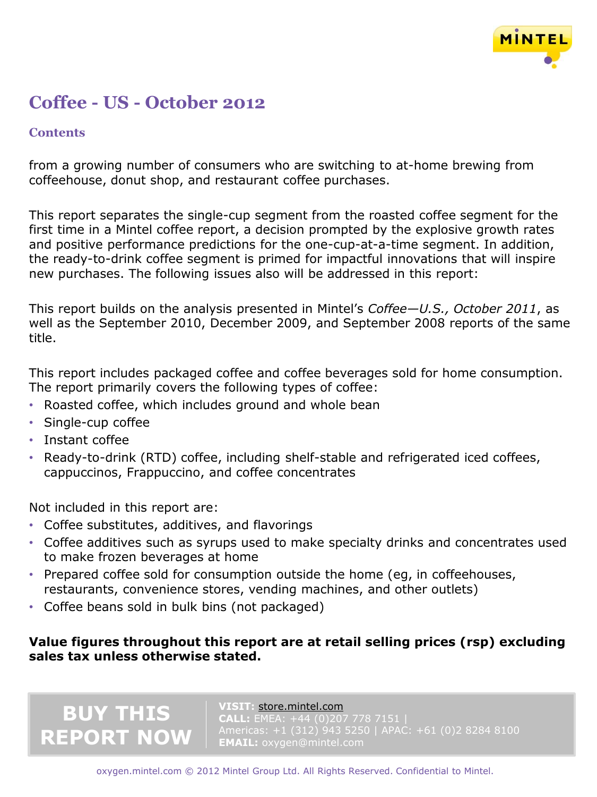

## **Contents**

from a growing number of consumers who are switching to at-home brewing from coffeehouse, donut shop, and restaurant coffee purchases.

This report separates the single-cup segment from the roasted coffee segment for the first time in a Mintel coffee report, a decision prompted by the explosive growth rates and positive performance predictions for the one-cup-at-a-time segment. In addition, the ready-to-drink coffee segment is primed for impactful innovations that will inspire new purchases. The following issues also will be addressed in this report:

This report builds on the analysis presented in Mintel's *Coffee—U.S., October 2011*, as well as the September 2010, December 2009, and September 2008 reports of the same title.

This report includes packaged coffee and coffee beverages sold for home consumption. The report primarily covers the following types of coffee:

- Roasted coffee, which includes ground and whole bean
- Single-cup coffee
- Instant coffee
- Ready-to-drink (RTD) coffee, including shelf-stable and refrigerated iced coffees, cappuccinos, Frappuccino, and coffee concentrates

Not included in this report are:

**BUY THIS**

**REPORT NOW**

- Coffee substitutes, additives, and flavorings
- Coffee additives such as syrups used to make specialty drinks and concentrates used to make frozen beverages at home
- Prepared coffee sold for consumption outside the home (eg, in coffeehouses, restaurants, convenience stores, vending machines, and other outlets)
- Coffee beans sold in bulk bins (not packaged)

## **Value figures throughout this report are at retail selling prices (rsp) excluding sales tax unless otherwise stated.**

### **VISIT:** [store.mintel.com](http://oxygen.mintel.com/display/590728/)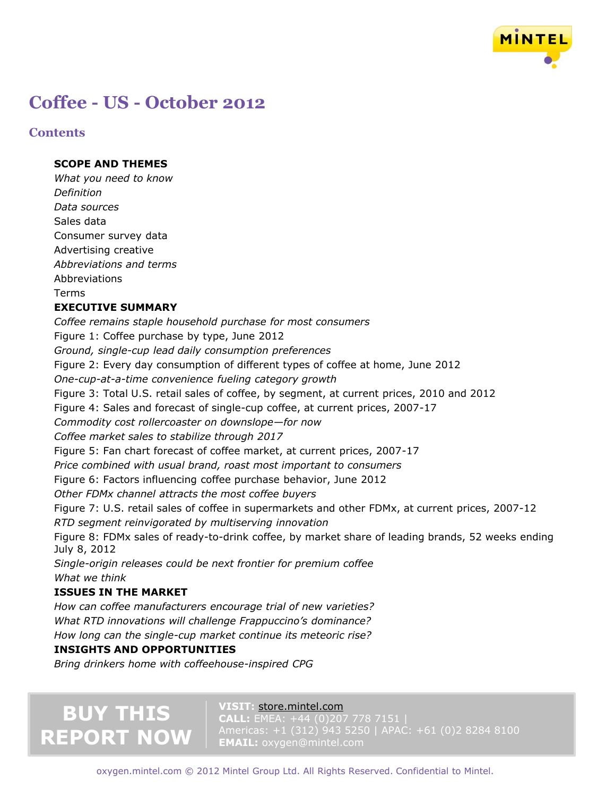

### **Contents**

### **SCOPE AND THEMES**

*What you need to know Definition Data sources* Sales data Consumer survey data Advertising creative *Abbreviations and terms* Abbreviations Terms

### **EXECUTIVE SUMMARY**

*Coffee remains staple household purchase for most consumers* Figure 1: Coffee purchase by type, June 2012 *Ground, single-cup lead daily consumption preferences* Figure 2: Every day consumption of different types of coffee at home, June 2012 *One-cup-at-a-time convenience fueling category growth* Figure 3: Total U.S. retail sales of coffee, by segment, at current prices, 2010 and 2012 Figure 4: Sales and forecast of single-cup coffee, at current prices, 2007-17 *Commodity cost rollercoaster on downslope—for now Coffee market sales to stabilize through 2017* Figure 5: Fan chart forecast of coffee market, at current prices, 2007-17 *Price combined with usual brand, roast most important to consumers* Figure 6: Factors influencing coffee purchase behavior, June 2012 *Other FDMx channel attracts the most coffee buyers* Figure 7: U.S. retail sales of coffee in supermarkets and other FDMx, at current prices, 2007-12 *RTD segment reinvigorated by multiserving innovation* Figure 8: FDMx sales of ready-to-drink coffee, by market share of leading brands, 52 weeks ending July 8, 2012 *Single-origin releases could be next frontier for premium coffee What we think* **ISSUES IN THE MARKET** *How can coffee manufacturers encourage trial of new varieties? What RTD innovations will challenge Frappuccino's dominance?*

*How long can the single-cup market continue its meteoric rise?*

### **INSIGHTS AND OPPORTUNITIES**

*Bring drinkers home with coffeehouse-inspired CPG*

# **BUY THIS REPORT NOW**

#### **VISIT:** [store.mintel.com](http://oxygen.mintel.com/display/590728/)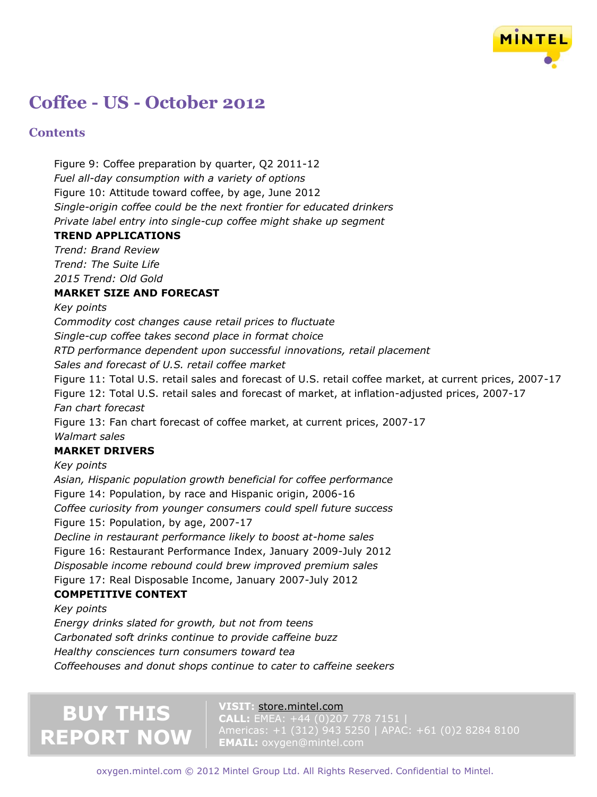

### **Contents**

Figure 9: Coffee preparation by quarter, Q2 2011-12 *Fuel all-day consumption with a variety of options* Figure 10: Attitude toward coffee, by age, June 2012 *Single-origin coffee could be the next frontier for educated drinkers Private label entry into single-cup coffee might shake up segment*

### **TREND APPLICATIONS**

*Trend: Brand Review Trend: The Suite Life 2015 Trend: Old Gold*

### **MARKET SIZE AND FORECAST**

*Key points*

*Commodity cost changes cause retail prices to fluctuate Single-cup coffee takes second place in format choice*

*RTD performance dependent upon successful innovations, retail placement*

*Sales and forecast of U.S. retail coffee market*

Figure 11: Total U.S. retail sales and forecast of U.S. retail coffee market, at current prices, 2007-17 Figure 12: Total U.S. retail sales and forecast of market, at inflation-adjusted prices, 2007-17 *Fan chart forecast*

Figure 13: Fan chart forecast of coffee market, at current prices, 2007-17 *Walmart sales*

### **MARKET DRIVERS**

*Key points*

*Asian, Hispanic population growth beneficial for coffee performance* Figure 14: Population, by race and Hispanic origin, 2006-16 *Coffee curiosity from younger consumers could spell future success* Figure 15: Population, by age, 2007-17 *Decline in restaurant performance likely to boost at-home sales* Figure 16: Restaurant Performance Index, January 2009-July 2012 *Disposable income rebound could brew improved premium sales* Figure 17: Real Disposable Income, January 2007-July 2012 **COMPETITIVE CONTEXT**

### *Key points*

*Energy drinks slated for growth, but not from teens Carbonated soft drinks continue to provide caffeine buzz Healthy consciences turn consumers toward tea Coffeehouses and donut shops continue to cater to caffeine seekers*

# **BUY THIS REPORT NOW**

#### **VISIT:** [store.mintel.com](http://oxygen.mintel.com/display/590728/)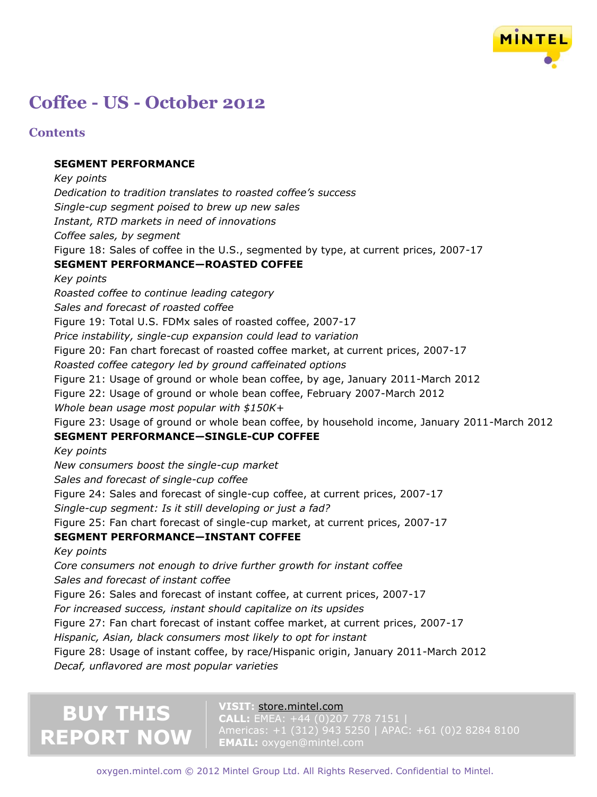

### **Contents**

### **SEGMENT PERFORMANCE**

*Key points Dedication to tradition translates to roasted coffee's success Single-cup segment poised to brew up new sales Instant, RTD markets in need of innovations Coffee sales, by segment* Figure 18: Sales of coffee in the U.S., segmented by type, at current prices, 2007-17 **SEGMENT PERFORMANCE—ROASTED COFFEE** *Key points Roasted coffee to continue leading category Sales and forecast of roasted coffee* Figure 19: Total U.S. FDMx sales of roasted coffee, 2007-17 *Price instability, single-cup expansion could lead to variation* Figure 20: Fan chart forecast of roasted coffee market, at current prices, 2007-17 *Roasted coffee category led by ground caffeinated options* Figure 21: Usage of ground or whole bean coffee, by age, January 2011-March 2012 Figure 22: Usage of ground or whole bean coffee, February 2007-March 2012 *Whole bean usage most popular with \$150K+* Figure 23: Usage of ground or whole bean coffee, by household income, January 2011-March 2012 **SEGMENT PERFORMANCE—SINGLE-CUP COFFEE** *Key points New consumers boost the single-cup market Sales and forecast of single-cup coffee* Figure 24: Sales and forecast of single-cup coffee, at current prices, 2007-17 *Single-cup segment: Is it still developing or just a fad?* Figure 25: Fan chart forecast of single-cup market, at current prices, 2007-17 **SEGMENT PERFORMANCE—INSTANT COFFEE** *Key points Core consumers not enough to drive further growth for instant coffee Sales and forecast of instant coffee* Figure 26: Sales and forecast of instant coffee, at current prices, 2007-17 *For increased success, instant should capitalize on its upsides* Figure 27: Fan chart forecast of instant coffee market, at current prices, 2007-17 *Hispanic, Asian, black consumers most likely to opt for instant* Figure 28: Usage of instant coffee, by race/Hispanic origin, January 2011-March 2012 *Decaf, unflavored are most popular varieties*

# **BUY THIS REPORT NOW**

#### **VISIT:** [store.mintel.com](http://oxygen.mintel.com/display/590728/)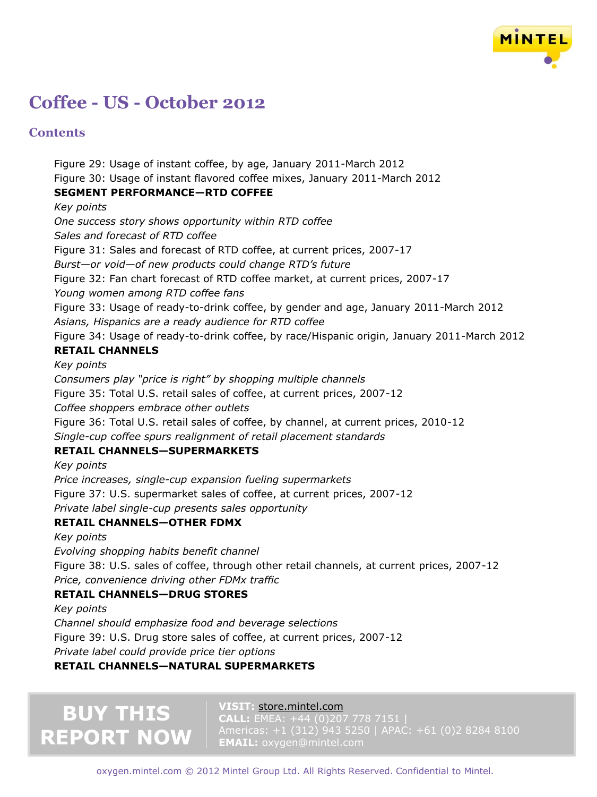

### **Contents**

Figure 29: Usage of instant coffee, by age, January 2011-March 2012 Figure 30: Usage of instant flavored coffee mixes, January 2011-March 2012 **SEGMENT PERFORMANCE—RTD COFFEE** *Key points One success story shows opportunity within RTD coffee Sales and forecast of RTD coffee* Figure 31: Sales and forecast of RTD coffee, at current prices, 2007-17 *Burst—or void—of new products could change RTD's future* Figure 32: Fan chart forecast of RTD coffee market, at current prices, 2007-17 *Young women among RTD coffee fans*

Figure 33: Usage of ready-to-drink coffee, by gender and age, January 2011-March 2012 *Asians, Hispanics are a ready audience for RTD coffee*

Figure 34: Usage of ready-to-drink coffee, by race/Hispanic origin, January 2011-March 2012

### **RETAIL CHANNELS**

*Key points*

*Consumers play "price is right" by shopping multiple channels* Figure 35: Total U.S. retail sales of coffee, at current prices, 2007-12 *Coffee shoppers embrace other outlets* Figure 36: Total U.S. retail sales of coffee, by channel, at current prices, 2010-12 *Single-cup coffee spurs realignment of retail placement standards*

### **RETAIL CHANNELS—SUPERMARKETS**

*Key points Price increases, single-cup expansion fueling supermarkets* Figure 37: U.S. supermarket sales of coffee, at current prices, 2007-12 *Private label single-cup presents sales opportunity*

### **RETAIL CHANNELS—OTHER FDMX**

*Key points*

*Evolving shopping habits benefit channel*

Figure 38: U.S. sales of coffee, through other retail channels, at current prices, 2007-12 *Price, convenience driving other FDMx traffic*

### **RETAIL CHANNELS—DRUG STORES**

*Key points*

*Channel should emphasize food and beverage selections* Figure 39: U.S. Drug store sales of coffee, at current prices, 2007-12 *Private label could provide price tier options*

### **RETAIL CHANNELS—NATURAL SUPERMARKETS**

# **BUY THIS REPORT NOW**

#### **VISIT:** [store.mintel.com](http://oxygen.mintel.com/display/590728/)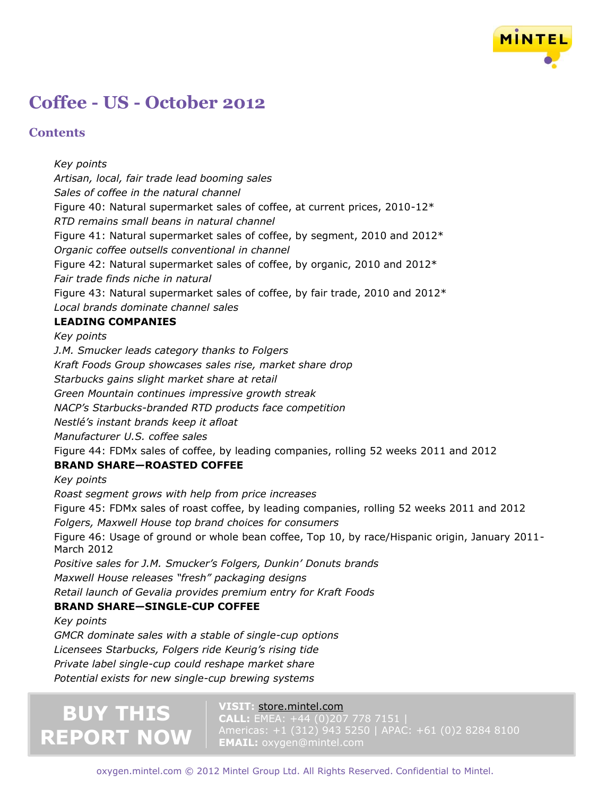

### **Contents**

*Key points Artisan, local, fair trade lead booming sales Sales of coffee in the natural channel* Figure 40: Natural supermarket sales of coffee, at current prices, 2010-12\* *RTD remains small beans in natural channel* Figure 41: Natural supermarket sales of coffee, by segment, 2010 and 2012\* *Organic coffee outsells conventional in channel* Figure 42: Natural supermarket sales of coffee, by organic, 2010 and 2012\* *Fair trade finds niche in natural* Figure 43: Natural supermarket sales of coffee, by fair trade, 2010 and 2012\* *Local brands dominate channel sales* **LEADING COMPANIES** *Key points J.M. Smucker leads category thanks to Folgers Kraft Foods Group showcases sales rise, market share drop Starbucks gains slight market share at retail Green Mountain continues impressive growth streak NACP's Starbucks-branded RTD products face competition Nestlé's instant brands keep it afloat Manufacturer U.S. coffee sales* Figure 44: FDMx sales of coffee, by leading companies, rolling 52 weeks 2011 and 2012 **BRAND SHARE—ROASTED COFFEE** *Key points Roast segment grows with help from price increases* Figure 45: FDMx sales of roast coffee, by leading companies, rolling 52 weeks 2011 and 2012 *Folgers, Maxwell House top brand choices for consumers* Figure 46: Usage of ground or whole bean coffee, Top 10, by race/Hispanic origin, January 2011- March 2012 *Positive sales for J.M. Smucker's Folgers, Dunkin' Donuts brands Maxwell House releases "fresh" packaging designs Retail launch of Gevalia provides premium entry for Kraft Foods* **BRAND SHARE—SINGLE-CUP COFFEE** *Key points GMCR dominate sales with a stable of single-cup options Licensees Starbucks, Folgers ride Keurig's rising tide*

*Private label single-cup could reshape market share*

*Potential exists for new single-cup brewing systems*

# **BUY THIS REPORT NOW**

#### **VISIT:** [store.mintel.com](http://oxygen.mintel.com/display/590728/)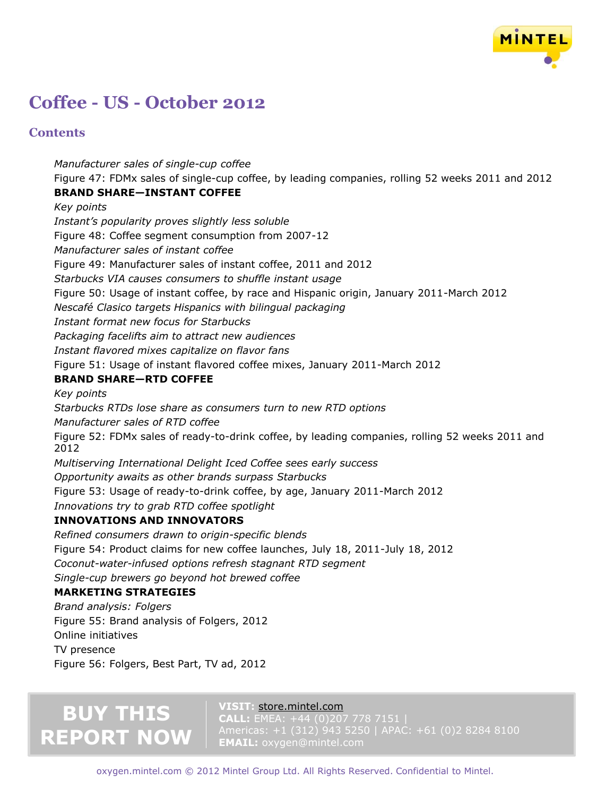

### **Contents**

*Manufacturer sales of single-cup coffee* Figure 47: FDMx sales of single-cup coffee, by leading companies, rolling 52 weeks 2011 and 2012 **BRAND SHARE—INSTANT COFFEE** *Key points*

*Instant's popularity proves slightly less soluble* Figure 48: Coffee segment consumption from 2007-12 *Manufacturer sales of instant coffee* Figure 49: Manufacturer sales of instant coffee, 2011 and 2012 *Starbucks VIA causes consumers to shuffle instant usage* Figure 50: Usage of instant coffee, by race and Hispanic origin, January 2011-March 2012 *Nescafé Clasico targets Hispanics with bilingual packaging Instant format new focus for Starbucks Packaging facelifts aim to attract new audiences Instant flavored mixes capitalize on flavor fans* Figure 51: Usage of instant flavored coffee mixes, January 2011-March 2012 **BRAND SHARE—RTD COFFEE** *Key points Starbucks RTDs lose share as consumers turn to new RTD options Manufacturer sales of RTD coffee* Figure 52: FDMx sales of ready-to-drink coffee, by leading companies, rolling 52 weeks 2011 and 2012 *Multiserving International Delight Iced Coffee sees early success Opportunity awaits as other brands surpass Starbucks* Figure 53: Usage of ready-to-drink coffee, by age, January 2011-March 2012 *Innovations try to grab RTD coffee spotlight* **INNOVATIONS AND INNOVATORS**

*Refined consumers drawn to origin-specific blends* Figure 54: Product claims for new coffee launches, July 18, 2011-July 18, 2012 *Coconut-water-infused options refresh stagnant RTD segment Single-cup brewers go beyond hot brewed coffee*

### **MARKETING STRATEGIES**

*Brand analysis: Folgers* Figure 55: Brand analysis of Folgers, 2012 Online initiatives TV presence Figure 56: Folgers, Best Part, TV ad, 2012

# **BUY THIS REPORT NOW**

### **VISIT:** [store.mintel.com](http://oxygen.mintel.com/display/590728/)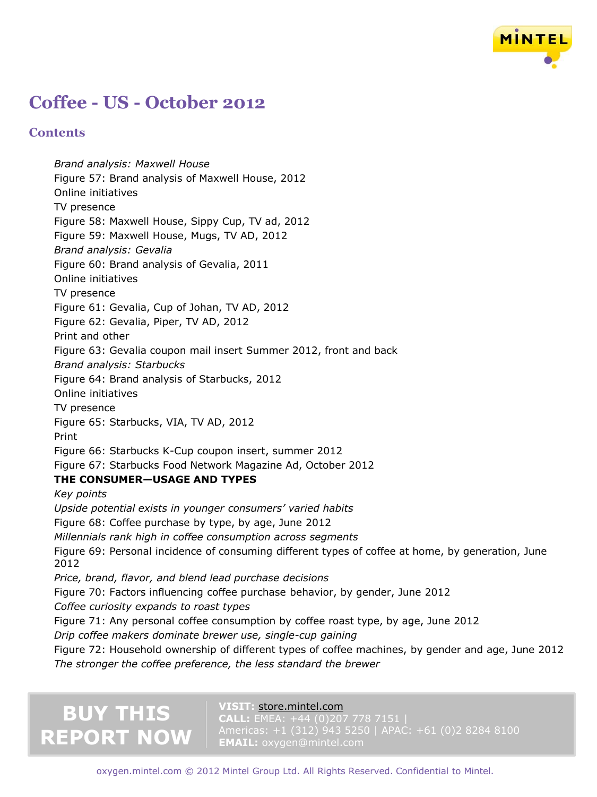

### **Contents**

*Brand analysis: Maxwell House* Figure 57: Brand analysis of Maxwell House, 2012 Online initiatives TV presence Figure 58: Maxwell House, Sippy Cup, TV ad, 2012 Figure 59: Maxwell House, Mugs, TV AD, 2012 *Brand analysis: Gevalia* Figure 60: Brand analysis of Gevalia, 2011 Online initiatives TV presence Figure 61: Gevalia, Cup of Johan, TV AD, 2012 Figure 62: Gevalia, Piper, TV AD, 2012 Print and other Figure 63: Gevalia coupon mail insert Summer 2012, front and back *Brand analysis: Starbucks* Figure 64: Brand analysis of Starbucks, 2012 Online initiatives TV presence Figure 65: Starbucks, VIA, TV AD, 2012 Print Figure 66: Starbucks K-Cup coupon insert, summer 2012 Figure 67: Starbucks Food Network Magazine Ad, October 2012 **THE CONSUMER—USAGE AND TYPES** *Key points Upside potential exists in younger consumers' varied habits* Figure 68: Coffee purchase by type, by age, June 2012 *Millennials rank high in coffee consumption across segments* Figure 69: Personal incidence of consuming different types of coffee at home, by generation, June 2012 *Price, brand, flavor, and blend lead purchase decisions* Figure 70: Factors influencing coffee purchase behavior, by gender, June 2012 *Coffee curiosity expands to roast types* Figure 71: Any personal coffee consumption by coffee roast type, by age, June 2012 *Drip coffee makers dominate brewer use, single-cup gaining* Figure 72: Household ownership of different types of coffee machines, by gender and age, June 2012 *The stronger the coffee preference, the less standard the brewer*

# **BUY THIS REPORT NOW**

#### **VISIT:** [store.mintel.com](http://oxygen.mintel.com/display/590728/)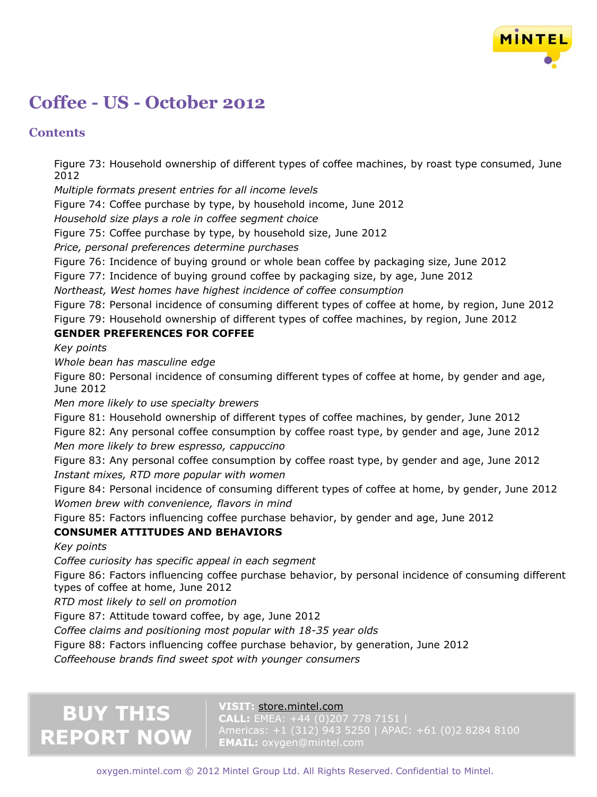

## **Contents**

Figure 73: Household ownership of different types of coffee machines, by roast type consumed, June 2012

*Multiple formats present entries for all income levels*

Figure 74: Coffee purchase by type, by household income, June 2012

*Household size plays a role in coffee segment choice*

Figure 75: Coffee purchase by type, by household size, June 2012

*Price, personal preferences determine purchases*

Figure 76: Incidence of buying ground or whole bean coffee by packaging size, June 2012

Figure 77: Incidence of buying ground coffee by packaging size, by age, June 2012

*Northeast, West homes have highest incidence of coffee consumption*

Figure 78: Personal incidence of consuming different types of coffee at home, by region, June 2012 Figure 79: Household ownership of different types of coffee machines, by region, June 2012

### **GENDER PREFERENCES FOR COFFEE**

*Key points*

*Whole bean has masculine edge*

Figure 80: Personal incidence of consuming different types of coffee at home, by gender and age, June 2012

*Men more likely to use specialty brewers*

Figure 81: Household ownership of different types of coffee machines, by gender, June 2012

Figure 82: Any personal coffee consumption by coffee roast type, by gender and age, June 2012

*Men more likely to brew espresso, cappuccino*

Figure 83: Any personal coffee consumption by coffee roast type, by gender and age, June 2012 *Instant mixes, RTD more popular with women*

Figure 84: Personal incidence of consuming different types of coffee at home, by gender, June 2012 *Women brew with convenience, flavors in mind*

Figure 85: Factors influencing coffee purchase behavior, by gender and age, June 2012

### **CONSUMER ATTITUDES AND BEHAVIORS**

*Key points*

*Coffee curiosity has specific appeal in each segment*

Figure 86: Factors influencing coffee purchase behavior, by personal incidence of consuming different types of coffee at home, June 2012

*RTD most likely to sell on promotion*

Figure 87: Attitude toward coffee, by age, June 2012

*Coffee claims and positioning most popular with 18-35 year olds*

Figure 88: Factors influencing coffee purchase behavior, by generation, June 2012

*Coffeehouse brands find sweet spot with younger consumers*

# **BUY THIS REPORT NOW**

### **VISIT:** [store.mintel.com](http://oxygen.mintel.com/display/590728/)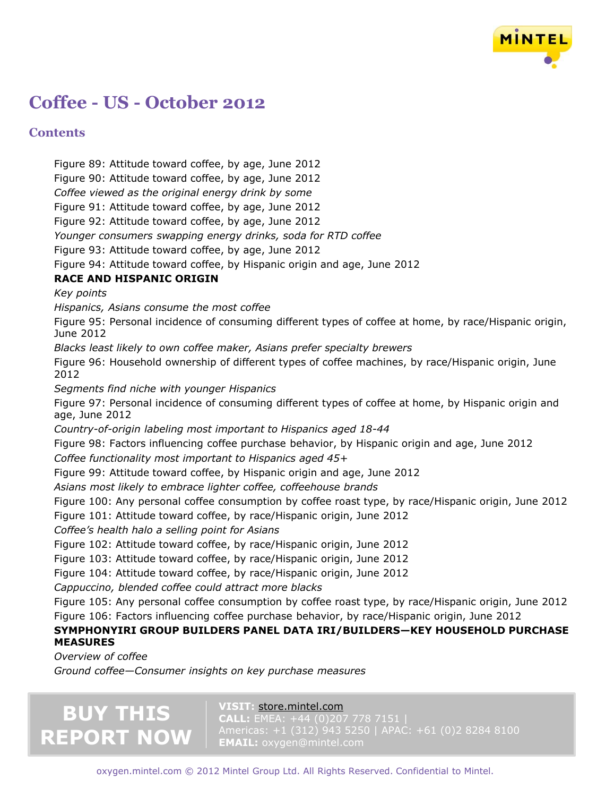

### **Contents**

Figure 89: Attitude toward coffee, by age, June 2012 Figure 90: Attitude toward coffee, by age, June 2012 *Coffee viewed as the original energy drink by some* Figure 91: Attitude toward coffee, by age, June 2012 Figure 92: Attitude toward coffee, by age, June 2012 *Younger consumers swapping energy drinks, soda for RTD coffee* Figure 93: Attitude toward coffee, by age, June 2012 Figure 94: Attitude toward coffee, by Hispanic origin and age, June 2012 **RACE AND HISPANIC ORIGIN** *Key points Hispanics, Asians consume the most coffee* Figure 95: Personal incidence of consuming different types of coffee at home, by race/Hispanic origin, June 2012 *Blacks least likely to own coffee maker, Asians prefer specialty brewers* Figure 96: Household ownership of different types of coffee machines, by race/Hispanic origin, June 2012 *Segments find niche with younger Hispanics* Figure 97: Personal incidence of consuming different types of coffee at home, by Hispanic origin and age, June 2012 *Country-of-origin labeling most important to Hispanics aged 18-44* Figure 98: Factors influencing coffee purchase behavior, by Hispanic origin and age, June 2012 *Coffee functionality most important to Hispanics aged 45+* Figure 99: Attitude toward coffee, by Hispanic origin and age, June 2012 *Asians most likely to embrace lighter coffee, coffeehouse brands* Figure 100: Any personal coffee consumption by coffee roast type, by race/Hispanic origin, June 2012 Figure 101: Attitude toward coffee, by race/Hispanic origin, June 2012 *Coffee's health halo a selling point for Asians* Figure 102: Attitude toward coffee, by race/Hispanic origin, June 2012 Figure 103: Attitude toward coffee, by race/Hispanic origin, June 2012 Figure 104: Attitude toward coffee, by race/Hispanic origin, June 2012 *Cappuccino, blended coffee could attract more blacks* Figure 105: Any personal coffee consumption by coffee roast type, by race/Hispanic origin, June 2012 Figure 106: Factors influencing coffee purchase behavior, by race/Hispanic origin, June 2012 **SYMPHONYIRI GROUP BUILDERS PANEL DATA IRI/BUILDERS—KEY HOUSEHOLD PURCHASE MEASURES** *Overview of coffee*

*Ground coffee—Consumer insights on key purchase measures*

# **BUY THIS REPORT NOW**

#### **VISIT:** [store.mintel.com](http://oxygen.mintel.com/display/590728/)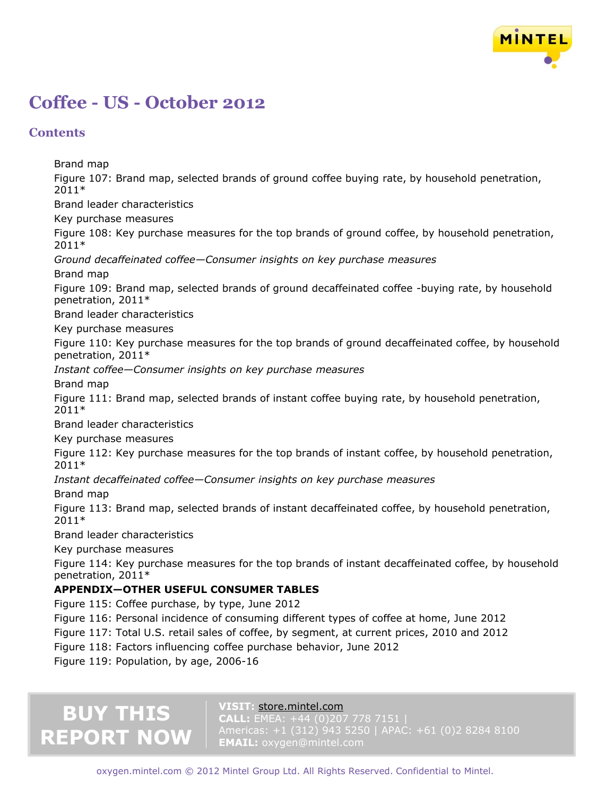

### **Contents**

Brand map

Figure 107: Brand map, selected brands of ground coffee buying rate, by household penetration, 2011\* Brand leader characteristics

Key purchase measures

Figure 108: Key purchase measures for the top brands of ground coffee, by household penetration, 2011\*

*Ground decaffeinated coffee—Consumer insights on key purchase measures*

Brand map

Figure 109: Brand map, selected brands of ground decaffeinated coffee -buying rate, by household penetration, 2011\*

Brand leader characteristics

Key purchase measures

Figure 110: Key purchase measures for the top brands of ground decaffeinated coffee, by household penetration, 2011\*

*Instant coffee—Consumer insights on key purchase measures*

Brand map

Figure 111: Brand map, selected brands of instant coffee buying rate, by household penetration, 2011\*

Brand leader characteristics

Key purchase measures

Figure 112: Key purchase measures for the top brands of instant coffee, by household penetration, 2011\*

*Instant decaffeinated coffee—Consumer insights on key purchase measures*

Brand map

Figure 113: Brand map, selected brands of instant decaffeinated coffee, by household penetration, 2011\*

Brand leader characteristics

Key purchase measures

Figure 114: Key purchase measures for the top brands of instant decaffeinated coffee, by household penetration, 2011\*

### **APPENDIX—OTHER USEFUL CONSUMER TABLES**

Figure 115: Coffee purchase, by type, June 2012

Figure 116: Personal incidence of consuming different types of coffee at home, June 2012

- Figure 117: Total U.S. retail sales of coffee, by segment, at current prices, 2010 and 2012
- Figure 118: Factors influencing coffee purchase behavior, June 2012

Figure 119: Population, by age, 2006-16

# **BUY THIS REPORT NOW**

### **VISIT:** [store.mintel.com](http://oxygen.mintel.com/display/590728/)